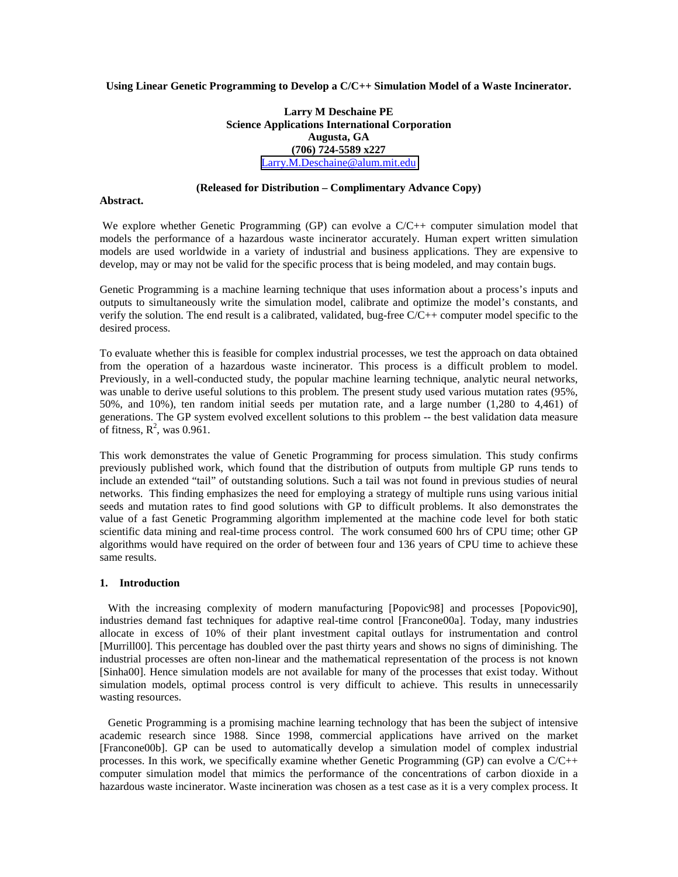## **Using Linear Genetic Programming to Develop a C/C++ Simulation Model of a Waste Incinerator.**

# **Larry M Deschaine PE Science Applications International Corporation Augusta, GA (706) 724-5589 x227** [Larry.M.Deschaine@alum.mit.edu](mailto:Larry.M.Deschaine@alum.mit.edu)

# **(Released for Distribution – Complimentary Advance Copy)**

#### **Abstract.**

We explore whether Genetic Programming (GP) can evolve a C/C++ computer simulation model that models the performance of a hazardous waste incinerator accurately. Human expert written simulation models are used worldwide in a variety of industrial and business applications. They are expensive to develop, may or may not be valid for the specific process that is being modeled, and may contain bugs.

Genetic Programming is a machine learning technique that uses information about a process's inputs and outputs to simultaneously write the simulation model, calibrate and optimize the model's constants, and verify the solution. The end result is a calibrated, validated, bug-free C/C++ computer model specific to the desired process.

To evaluate whether this is feasible for complex industrial processes, we test the approach on data obtained from the operation of a hazardous waste incinerator. This process is a difficult problem to model. Previously, in a well-conducted study, the popular machine learning technique, analytic neural networks, was unable to derive useful solutions to this problem. The present study used various mutation rates (95%, 50%, and 10%), ten random initial seeds per mutation rate, and a large number (1,280 to 4,461) of generations. The GP system evolved excellent solutions to this problem -- the best validation data measure of fitness,  $R^2$ , was 0.961.

This work demonstrates the value of Genetic Programming for process simulation. This study confirms previously published work, which found that the distribution of outputs from multiple GP runs tends to include an extended "tail" of outstanding solutions. Such a tail was not found in previous studies of neural networks. This finding emphasizes the need for employing a strategy of multiple runs using various initial seeds and mutation rates to find good solutions with GP to difficult problems. It also demonstrates the value of a fast Genetic Programming algorithm implemented at the machine code level for both static scientific data mining and real-time process control. The work consumed 600 hrs of CPU time; other GP algorithms would have required on the order of between four and 136 years of CPU time to achieve these same results.

#### **1. Introduction**

With the increasing complexity of modern manufacturing [Popovic98] and processes [Popovic90], industries demand fast techniques for adaptive real-time control [Francone00a]. Today, many industries allocate in excess of 10% of their plant investment capital outlays for instrumentation and control [Murrill00]. This percentage has doubled over the past thirty years and shows no signs of diminishing. The industrial processes are often non-linear and the mathematical representation of the process is not known [Sinha00]. Hence simulation models are not available for many of the processes that exist today. Without simulation models, optimal process control is very difficult to achieve. This results in unnecessarily wasting resources.

 Genetic Programming is a promising machine learning technology that has been the subject of intensive academic research since 1988. Since 1998, commercial applications have arrived on the market [Francone00b]. GP can be used to automatically develop a simulation model of complex industrial processes. In this work, we specifically examine whether Genetic Programming (GP) can evolve a C/C++ computer simulation model that mimics the performance of the concentrations of carbon dioxide in a hazardous waste incinerator. Waste incineration was chosen as a test case as it is a very complex process. It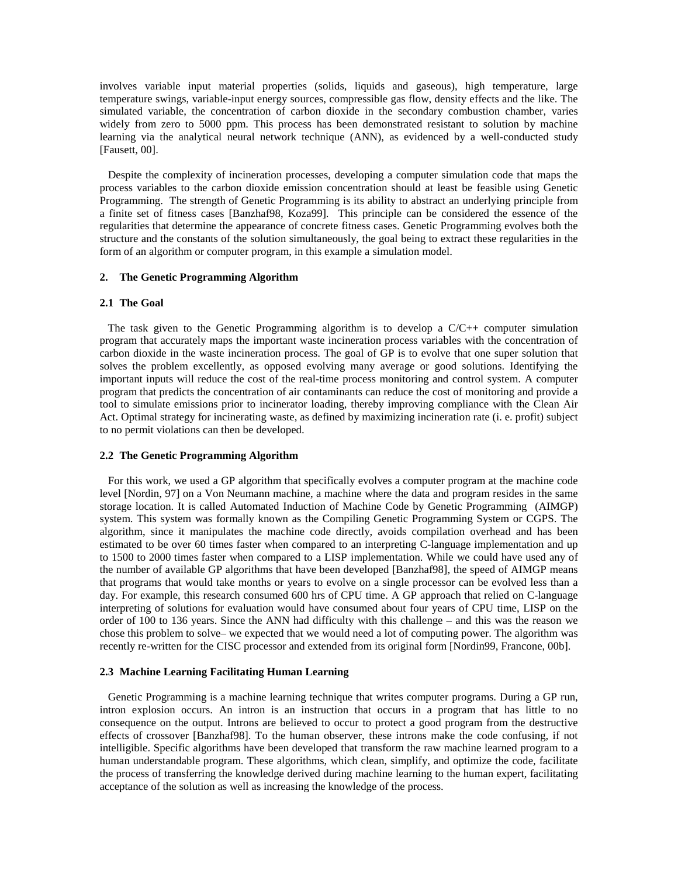involves variable input material properties (solids, liquids and gaseous), high temperature, large temperature swings, variable-input energy sources, compressible gas flow, density effects and the like. The simulated variable, the concentration of carbon dioxide in the secondary combustion chamber, varies widely from zero to 5000 ppm. This process has been demonstrated resistant to solution by machine learning via the analytical neural network technique (ANN), as evidenced by a well-conducted study [Fausett, 00].

 Despite the complexity of incineration processes, developing a computer simulation code that maps the process variables to the carbon dioxide emission concentration should at least be feasible using Genetic Programming. The strength of Genetic Programming is its ability to abstract an underlying principle from a finite set of fitness cases [Banzhaf98, Koza99]. This principle can be considered the essence of the regularities that determine the appearance of concrete fitness cases. Genetic Programming evolves both the structure and the constants of the solution simultaneously, the goal being to extract these regularities in the form of an algorithm or computer program, in this example a simulation model.

#### **2. The Genetic Programming Algorithm**

#### **2.1 The Goal**

The task given to the Genetic Programming algorithm is to develop a  $C/C++$  computer simulation program that accurately maps the important waste incineration process variables with the concentration of carbon dioxide in the waste incineration process. The goal of GP is to evolve that one super solution that solves the problem excellently, as opposed evolving many average or good solutions. Identifying the important inputs will reduce the cost of the real-time process monitoring and control system. A computer program that predicts the concentration of air contaminants can reduce the cost of monitoring and provide a tool to simulate emissions prior to incinerator loading, thereby improving compliance with the Clean Air Act. Optimal strategy for incinerating waste, as defined by maximizing incineration rate (i. e. profit) subject to no permit violations can then be developed.

#### **2.2 The Genetic Programming Algorithm**

 For this work, we used a GP algorithm that specifically evolves a computer program at the machine code level [Nordin, 97] on a Von Neumann machine, a machine where the data and program resides in the same storage location. It is called Automated Induction of Machine Code by Genetic Programming (AIMGP) system. This system was formally known as the Compiling Genetic Programming System or CGPS. The algorithm, since it manipulates the machine code directly, avoids compilation overhead and has been estimated to be over 60 times faster when compared to an interpreting C-language implementation and up to 1500 to 2000 times faster when compared to a LISP implementation. While we could have used any of the number of available GP algorithms that have been developed [Banzhaf98], the speed of AIMGP means that programs that would take months or years to evolve on a single processor can be evolved less than a day. For example, this research consumed 600 hrs of CPU time. A GP approach that relied on C-language interpreting of solutions for evaluation would have consumed about four years of CPU time, LISP on the order of 100 to 136 years. Since the ANN had difficulty with this challenge – and this was the reason we chose this problem to solve– we expected that we would need a lot of computing power. The algorithm was recently re-written for the CISC processor and extended from its original form [Nordin99, Francone, 00b].

#### **2.3 Machine Learning Facilitating Human Learning**

Genetic Programming is a machine learning technique that writes computer programs. During a GP run, intron explosion occurs. An intron is an instruction that occurs in a program that has little to no consequence on the output. Introns are believed to occur to protect a good program from the destructive effects of crossover [Banzhaf98]. To the human observer, these introns make the code confusing, if not intelligible. Specific algorithms have been developed that transform the raw machine learned program to a human understandable program. These algorithms, which clean, simplify, and optimize the code, facilitate the process of transferring the knowledge derived during machine learning to the human expert, facilitating acceptance of the solution as well as increasing the knowledge of the process.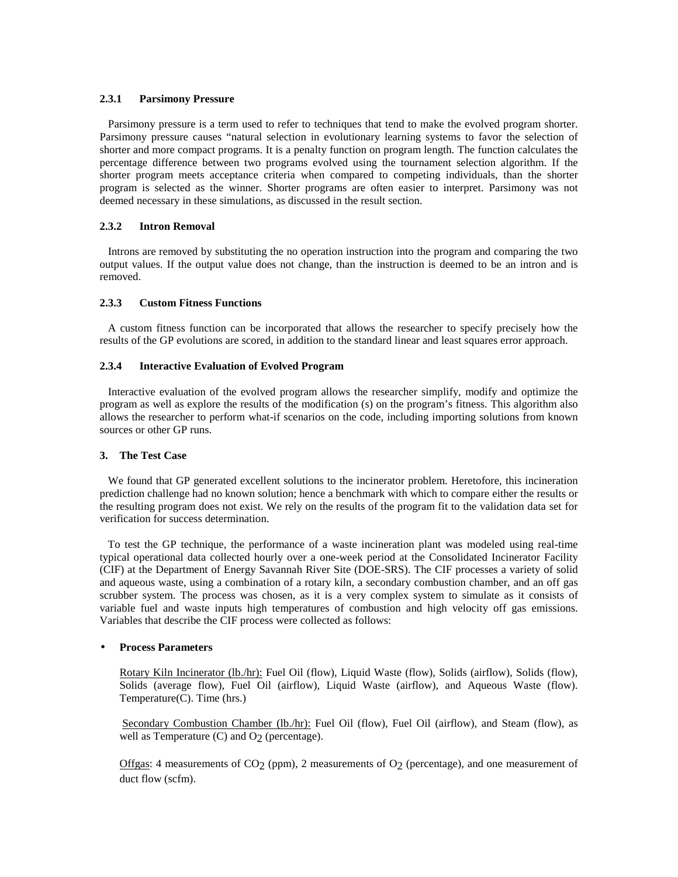## **2.3.1 Parsimony Pressure**

Parsimony pressure is a term used to refer to techniques that tend to make the evolved program shorter. Parsimony pressure causes "natural selection in evolutionary learning systems to favor the selection of shorter and more compact programs. It is a penalty function on program length. The function calculates the percentage difference between two programs evolved using the tournament selection algorithm. If the shorter program meets acceptance criteria when compared to competing individuals, than the shorter program is selected as the winner. Shorter programs are often easier to interpret. Parsimony was not deemed necessary in these simulations, as discussed in the result section.

# **2.3.2 Intron Removal**

Introns are removed by substituting the no operation instruction into the program and comparing the two output values. If the output value does not change, than the instruction is deemed to be an intron and is removed.

# **2.3.3 Custom Fitness Functions**

A custom fitness function can be incorporated that allows the researcher to specify precisely how the results of the GP evolutions are scored, in addition to the standard linear and least squares error approach.

# **2.3.4 Interactive Evaluation of Evolved Program**

Interactive evaluation of the evolved program allows the researcher simplify, modify and optimize the program as well as explore the results of the modification (s) on the program's fitness. This algorithm also allows the researcher to perform what-if scenarios on the code, including importing solutions from known sources or other GP runs.

### **3. The Test Case**

 We found that GP generated excellent solutions to the incinerator problem. Heretofore, this incineration prediction challenge had no known solution; hence a benchmark with which to compare either the results or the resulting program does not exist. We rely on the results of the program fit to the validation data set for verification for success determination.

 To test the GP technique, the performance of a waste incineration plant was modeled using real-time typical operational data collected hourly over a one-week period at the Consolidated Incinerator Facility (CIF) at the Department of Energy Savannah River Site (DOE-SRS). The CIF processes a variety of solid and aqueous waste, using a combination of a rotary kiln, a secondary combustion chamber, and an off gas scrubber system. The process was chosen, as it is a very complex system to simulate as it consists of variable fuel and waste inputs high temperatures of combustion and high velocity off gas emissions. Variables that describe the CIF process were collected as follows:

# • **Process Parameters**

Rotary Kiln Incinerator (lb./hr): Fuel Oil (flow), Liquid Waste (flow), Solids (airflow), Solids (flow), Solids (average flow), Fuel Oil (airflow), Liquid Waste (airflow), and Aqueous Waste (flow). Temperature(C). Time (hrs.)

Secondary Combustion Chamber (lb./hr): Fuel Oil (flow), Fuel Oil (airflow), and Steam (flow), as well as Temperature  $(C)$  and  $O<sub>2</sub>$  (percentage).

Offgas: 4 measurements of CO<sub>2</sub> (ppm), 2 measurements of O<sub>2</sub> (percentage), and one measurement of duct flow (scfm).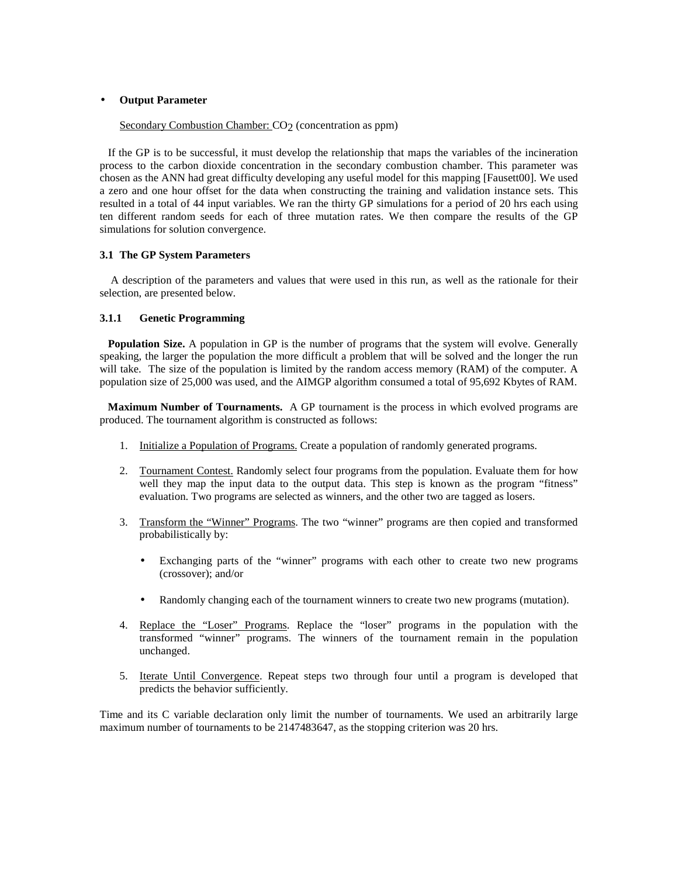### • **Output Parameter**

Secondary Combustion Chamber: CO<sub>2</sub> (concentration as ppm)

 If the GP is to be successful, it must develop the relationship that maps the variables of the incineration process to the carbon dioxide concentration in the secondary combustion chamber. This parameter was chosen as the ANN had great difficulty developing any useful model for this mapping [Fausett00]. We used a zero and one hour offset for the data when constructing the training and validation instance sets. This resulted in a total of 44 input variables. We ran the thirty GP simulations for a period of 20 hrs each using ten different random seeds for each of three mutation rates. We then compare the results of the GP simulations for solution convergence.

# **3.1 The GP System Parameters**

 A description of the parameters and values that were used in this run, as well as the rationale for their selection, are presented below.

# **3.1.1 Genetic Programming**

**Population Size.** A population in GP is the number of programs that the system will evolve. Generally speaking, the larger the population the more difficult a problem that will be solved and the longer the run will take. The size of the population is limited by the random access memory (RAM) of the computer. A population size of 25,000 was used, and the AIMGP algorithm consumed a total of 95,692 Kbytes of RAM.

 **Maximum Number of Tournaments.** A GP tournament is the process in which evolved programs are produced. The tournament algorithm is constructed as follows:

- 1. Initialize a Population of Programs. Create a population of randomly generated programs.
- 2. Tournament Contest. Randomly select four programs from the population. Evaluate them for how well they map the input data to the output data. This step is known as the program "fitness" evaluation. Two programs are selected as winners, and the other two are tagged as losers.
- 3. Transform the "Winner" Programs. The two "winner" programs are then copied and transformed probabilistically by:
	- Exchanging parts of the "winner" programs with each other to create two new programs (crossover); and/or
	- Randomly changing each of the tournament winners to create two new programs (mutation).
- 4. Replace the "Loser" Programs. Replace the "loser" programs in the population with the transformed "winner" programs. The winners of the tournament remain in the population unchanged.
- 5. Iterate Until Convergence. Repeat steps two through four until a program is developed that predicts the behavior sufficiently.

Time and its C variable declaration only limit the number of tournaments. We used an arbitrarily large maximum number of tournaments to be 2147483647, as the stopping criterion was 20 hrs.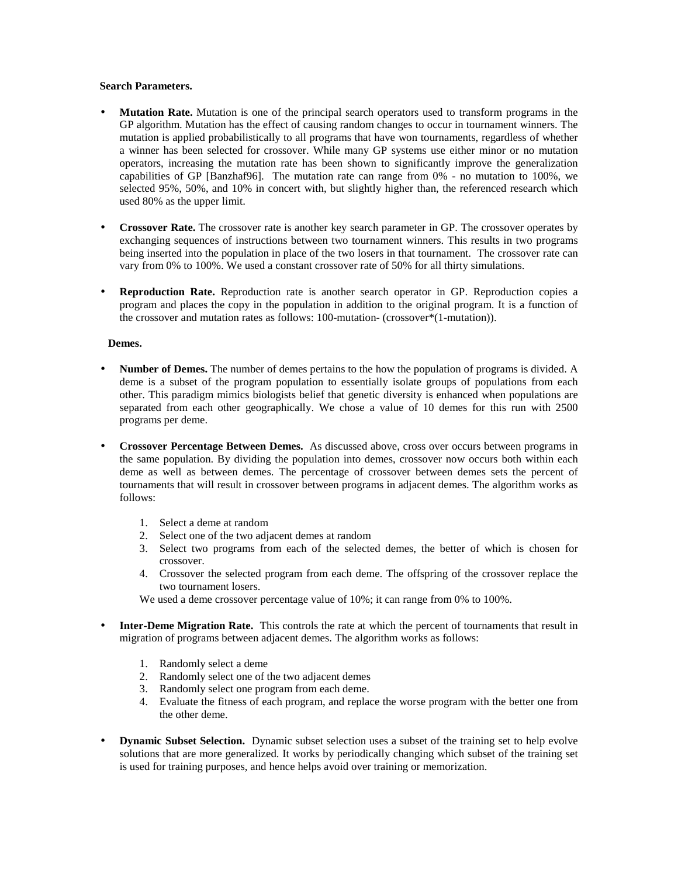### **Search Parameters.**

- **Mutation Rate.** Mutation is one of the principal search operators used to transform programs in the GP algorithm. Mutation has the effect of causing random changes to occur in tournament winners. The mutation is applied probabilistically to all programs that have won tournaments, regardless of whether a winner has been selected for crossover. While many GP systems use either minor or no mutation operators, increasing the mutation rate has been shown to significantly improve the generalization capabilities of GP [Banzhaf96]. The mutation rate can range from 0% - no mutation to 100%, we selected 95%, 50%, and 10% in concert with, but slightly higher than, the referenced research which used 80% as the upper limit.
- **Crossover Rate.** The crossover rate is another key search parameter in GP. The crossover operates by exchanging sequences of instructions between two tournament winners. This results in two programs being inserted into the population in place of the two losers in that tournament. The crossover rate can vary from 0% to 100%. We used a constant crossover rate of 50% for all thirty simulations.
- **Reproduction Rate.** Reproduction rate is another search operator in GP. Reproduction copies a program and places the copy in the population in addition to the original program. It is a function of the crossover and mutation rates as follows: 100-mutation- (crossover\*(1-mutation)).

### **Demes.**

- **Number of Demes.** The number of demes pertains to the how the population of programs is divided. A deme is a subset of the program population to essentially isolate groups of populations from each other. This paradigm mimics biologists belief that genetic diversity is enhanced when populations are separated from each other geographically. We chose a value of 10 demes for this run with 2500 programs per deme.
- **Crossover Percentage Between Demes.** As discussed above, cross over occurs between programs in the same population. By dividing the population into demes, crossover now occurs both within each deme as well as between demes. The percentage of crossover between demes sets the percent of tournaments that will result in crossover between programs in adjacent demes. The algorithm works as follows:
	- 1. Select a deme at random
	- 2. Select one of the two adjacent demes at random
	- 3. Select two programs from each of the selected demes, the better of which is chosen for crossover.
	- 4. Crossover the selected program from each deme. The offspring of the crossover replace the two tournament losers.
	- We used a deme crossover percentage value of 10%; it can range from 0% to 100%.
- **Inter-Deme Migration Rate.** This controls the rate at which the percent of tournaments that result in migration of programs between adjacent demes. The algorithm works as follows:
	- 1. Randomly select a deme
	- 2. Randomly select one of the two adjacent demes
	- 3. Randomly select one program from each deme.
	- 4. Evaluate the fitness of each program, and replace the worse program with the better one from the other deme.
- **Dynamic Subset Selection.** Dynamic subset selection uses a subset of the training set to help evolve solutions that are more generalized. It works by periodically changing which subset of the training set is used for training purposes, and hence helps avoid over training or memorization.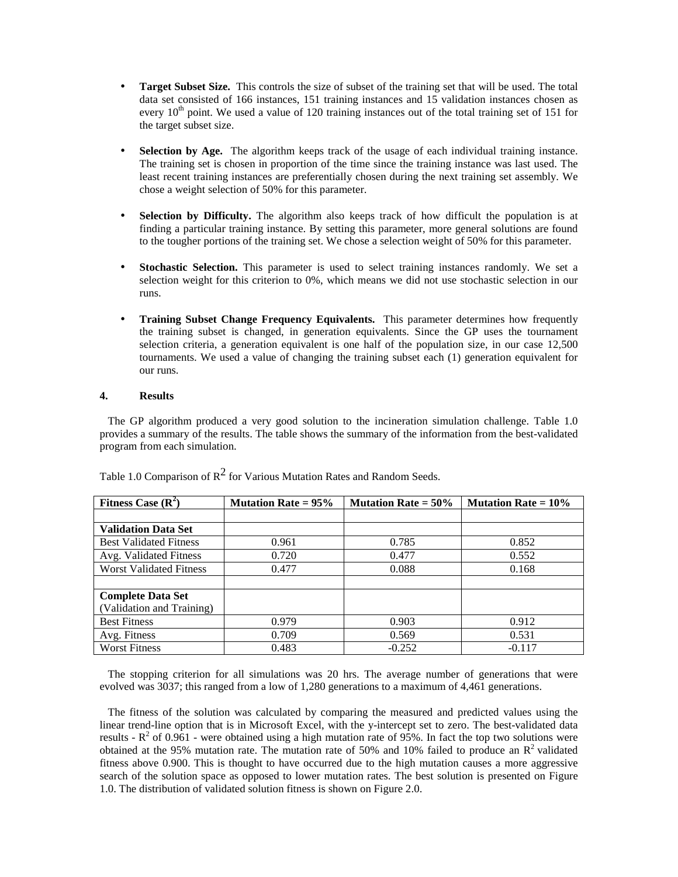- **Target Subset Size.** This controls the size of subset of the training set that will be used. The total data set consisted of 166 instances, 151 training instances and 15 validation instances chosen as every  $10<sup>th</sup>$  point. We used a value of 120 training instances out of the total training set of 151 for the target subset size.
- **Selection by Age.** The algorithm keeps track of the usage of each individual training instance. The training set is chosen in proportion of the time since the training instance was last used. The least recent training instances are preferentially chosen during the next training set assembly. We chose a weight selection of 50% for this parameter.
- **Selection by Difficulty.** The algorithm also keeps track of how difficult the population is at finding a particular training instance. By setting this parameter, more general solutions are found to the tougher portions of the training set. We chose a selection weight of 50% for this parameter.
- **Stochastic Selection.** This parameter is used to select training instances randomly. We set a selection weight for this criterion to 0%, which means we did not use stochastic selection in our runs.
- **Training Subset Change Frequency Equivalents.** This parameter determines how frequently the training subset is changed, in generation equivalents. Since the GP uses the tournament selection criteria, a generation equivalent is one half of the population size, in our case 12,500 tournaments. We used a value of changing the training subset each (1) generation equivalent for our runs.

# **4. Results**

 The GP algorithm produced a very good solution to the incineration simulation challenge. Table 1.0 provides a summary of the results. The table shows the summary of the information from the best-validated program from each simulation.

| Fitness Case $(R^2)$           | <b>Mutation Rate = <math>95\%</math></b> | <b>Mutation Rate = <math>50\%</math></b> | <b>Mutation Rate = <math>10\%</math></b> |
|--------------------------------|------------------------------------------|------------------------------------------|------------------------------------------|
|                                |                                          |                                          |                                          |
| <b>Validation Data Set</b>     |                                          |                                          |                                          |
| <b>Best Validated Fitness</b>  | 0.961                                    | 0.785                                    | 0.852                                    |
| Avg. Validated Fitness         | 0.720                                    | 0.477                                    | 0.552                                    |
| <b>Worst Validated Fitness</b> | 0.477                                    | 0.088                                    | 0.168                                    |
|                                |                                          |                                          |                                          |
| <b>Complete Data Set</b>       |                                          |                                          |                                          |
| (Validation and Training)      |                                          |                                          |                                          |
| <b>Best Fitness</b>            | 0.979                                    | 0.903                                    | 0.912                                    |
| Avg. Fitness                   | 0.709                                    | 0.569                                    | 0.531                                    |
| <b>Worst Fitness</b>           | 0.483                                    | $-0.252$                                 | $-0.117$                                 |

Table 1.0 Comparison of  $\mathbb{R}^2$  for Various Mutation Rates and Random Seeds.

 The stopping criterion for all simulations was 20 hrs. The average number of generations that were evolved was 3037; this ranged from a low of 1,280 generations to a maximum of 4,461 generations.

 The fitness of the solution was calculated by comparing the measured and predicted values using the linear trend-line option that is in Microsoft Excel, with the y-intercept set to zero. The best-validated data results -  $R^2$  of 0.961 - were obtained using a high mutation rate of 95%. In fact the top two solutions were obtained at the 95% mutation rate. The mutation rate of 50% and 10% failed to produce an  $\mathbb{R}^2$  validated fitness above 0.900. This is thought to have occurred due to the high mutation causes a more aggressive search of the solution space as opposed to lower mutation rates. The best solution is presented on Figure 1.0. The distribution of validated solution fitness is shown on Figure 2.0.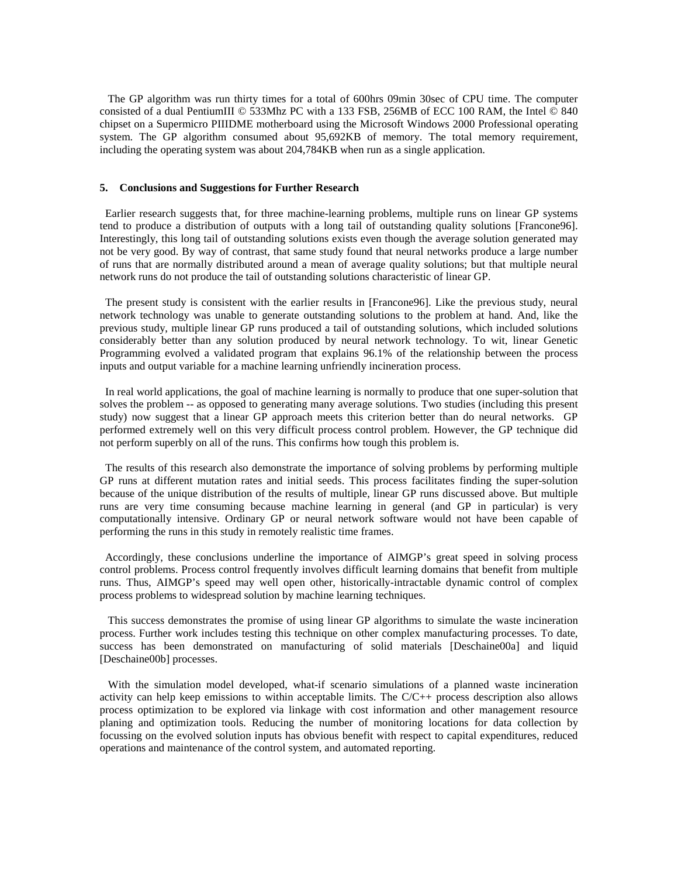The GP algorithm was run thirty times for a total of 600hrs 09min 30sec of CPU time. The computer consisted of a dual PentiumIII © 533Mhz PC with a 133 FSB, 256MB of ECC 100 RAM, the Intel © 840 chipset on a Supermicro PIIIDME motherboard using the Microsoft Windows 2000 Professional operating system. The GP algorithm consumed about 95,692KB of memory. The total memory requirement, including the operating system was about 204,784KB when run as a single application.

## **5. Conclusions and Suggestions for Further Research**

 Earlier research suggests that, for three machine-learning problems, multiple runs on linear GP systems tend to produce a distribution of outputs with a long tail of outstanding quality solutions [Francone96]. Interestingly, this long tail of outstanding solutions exists even though the average solution generated may not be very good. By way of contrast, that same study found that neural networks produce a large number of runs that are normally distributed around a mean of average quality solutions; but that multiple neural network runs do not produce the tail of outstanding solutions characteristic of linear GP.

 The present study is consistent with the earlier results in [Francone96]. Like the previous study, neural network technology was unable to generate outstanding solutions to the problem at hand. And, like the previous study, multiple linear GP runs produced a tail of outstanding solutions, which included solutions considerably better than any solution produced by neural network technology. To wit, linear Genetic Programming evolved a validated program that explains 96.1% of the relationship between the process inputs and output variable for a machine learning unfriendly incineration process.

 In real world applications, the goal of machine learning is normally to produce that one super-solution that solves the problem -- as opposed to generating many average solutions. Two studies (including this present study) now suggest that a linear GP approach meets this criterion better than do neural networks. GP performed extremely well on this very difficult process control problem. However, the GP technique did not perform superbly on all of the runs. This confirms how tough this problem is.

 The results of this research also demonstrate the importance of solving problems by performing multiple GP runs at different mutation rates and initial seeds. This process facilitates finding the super-solution because of the unique distribution of the results of multiple, linear GP runs discussed above. But multiple runs are very time consuming because machine learning in general (and GP in particular) is very computationally intensive. Ordinary GP or neural network software would not have been capable of performing the runs in this study in remotely realistic time frames.

 Accordingly, these conclusions underline the importance of AIMGP's great speed in solving process control problems. Process control frequently involves difficult learning domains that benefit from multiple runs. Thus, AIMGP's speed may well open other, historically-intractable dynamic control of complex process problems to widespread solution by machine learning techniques.

 This success demonstrates the promise of using linear GP algorithms to simulate the waste incineration process. Further work includes testing this technique on other complex manufacturing processes. To date, success has been demonstrated on manufacturing of solid materials [Deschaine00a] and liquid [Deschaine00b] processes.

 With the simulation model developed, what-if scenario simulations of a planned waste incineration activity can help keep emissions to within acceptable limits. The C/C++ process description also allows process optimization to be explored via linkage with cost information and other management resource planing and optimization tools. Reducing the number of monitoring locations for data collection by focussing on the evolved solution inputs has obvious benefit with respect to capital expenditures, reduced operations and maintenance of the control system, and automated reporting.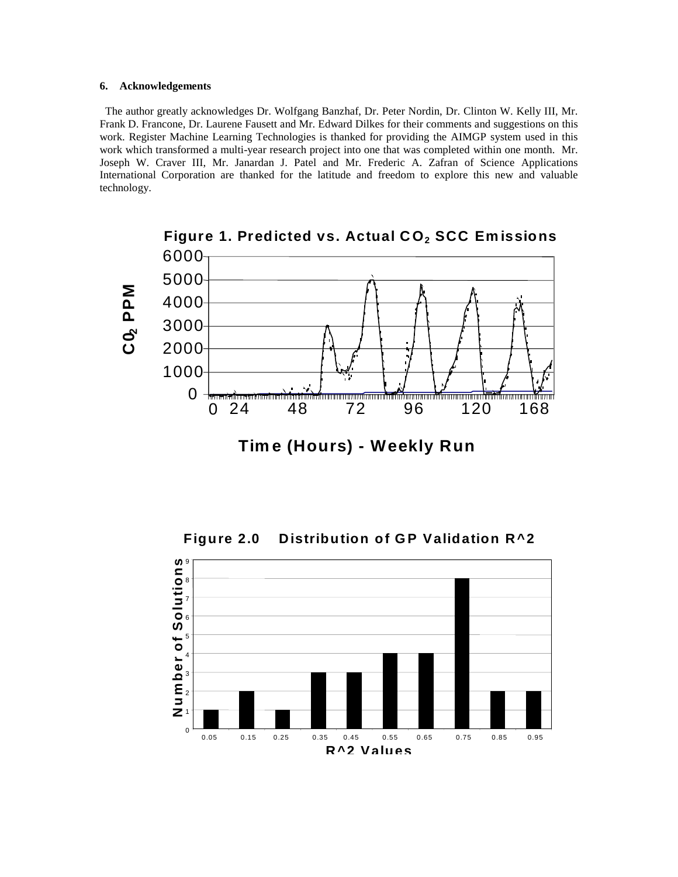## **6. Acknowledgements**

The author greatly acknowledges Dr. Wolfgang Banzhaf, Dr. Peter Nordin, Dr. Clinton W. Kelly III, Mr. Frank D. Francone, Dr. Laurene Fausett and Mr. Edward Dilkes for their comments and suggestions on this work. Register Machine Learning Technologies is thanked for providing the AIMGP system used in this work which transformed a multi-year research project into one that was completed within one month. Mr. Joseph W. Craver III, Mr. Janardan J. Patel and Mr. Frederic A. Zafran of Science Applications International Corporation are thanked for the latitude and freedom to explore this new and valuable technology.



**Tim e (Hours) - Weekly Run**

**Figure 2.0 Distribution of GP Validation R^2**